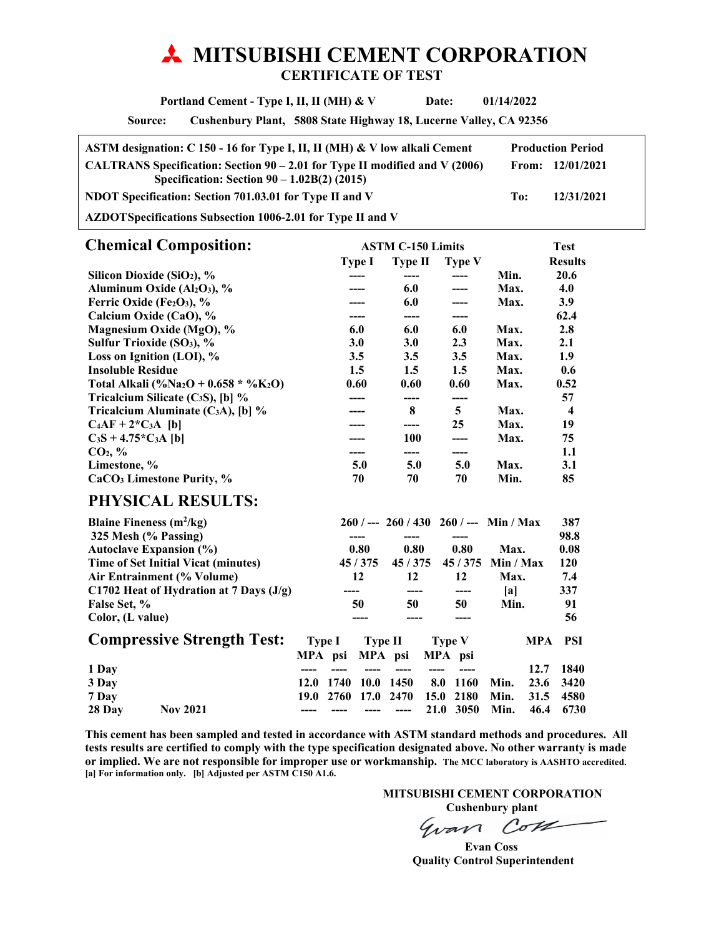# **MITSUBISHI CEMENT CORPORATION CERTIFICATE OF TEST**

 **Portland Cement - Type I, II, II (MH) & V Date: 01/14/2022** 

**Source: Cushenbury Plant, 5808 State Highway 18, Lucerne Valley, CA 92356** 

| ASTM designation: C 150 - 16 for Type I, II, II (MH) & V low alkali Cement                                                     |     | <b>Production Period</b> |
|--------------------------------------------------------------------------------------------------------------------------------|-----|--------------------------|
| CALTRANS Specification: Section $90 - 2.01$ for Type II modified and V (2006)<br>Specification: Section $90 - 1.02B(2)$ (2015) |     | From: $12/01/2021$       |
| NDOT Specification: Section 701.03.01 for Type II and V                                                                        | To: | 12/31/2021               |
|                                                                                                                                |     |                          |

**AZDOT Specifications Subsection 1006-2.01 for Type II and V** 

| <b>Chemical Composition:</b>                                  |            | <b>ASTM C-150 Limits</b> |               |      |                  |
|---------------------------------------------------------------|------------|--------------------------|---------------|------|------------------|
|                                                               | Type I     | Type II                  | <b>Type V</b> |      | <b>Results</b>   |
| Silicon Dioxide (SiO <sub>2</sub> ), %                        |            |                          |               | Min. | 20.6             |
| Aluminum Oxide ( $Al_2O_3$ ), %                               |            | 6.0                      |               | Max. | 4.0              |
| Ferric Oxide (Fe2O3), $%$                                     |            | 6.0                      |               | Max. | <b>3.9</b>       |
| Calcium Oxide (CaO), %                                        |            | ----                     | ----          |      | 62.4             |
| Magnesium Oxide (MgO), %                                      | 6.0        | 6.0                      | 6.0           | Max. | 2.8              |
| Sulfur Trioxide (SO <sub>3</sub> ), %                         | <b>3.0</b> | <b>3.0</b>               | 2.3           | Max. | 2.1              |
| Loss on Ignition (LOI), %                                     | 3.5        | 3.5                      | 3.5           | Max. | 1.9              |
| <b>Insoluble Residue</b>                                      | $1.5\,$    | 1.5                      | 1.5           | Max. | 0.6              |
| Total Alkali (%Na <sub>2</sub> O + 0.658 * %K <sub>2</sub> O) | 0.60       | 0.60                     | 0.60          | Max. | 0.52             |
| Tricalcium Silicate $(C_3S)$ , [b] %                          | ----       | ----                     | -----         |      | 57               |
| Tricalcium Aluminate (C <sub>3</sub> A), [b] $\%$             |            | 8                        | 5             | Max. | $\boldsymbol{4}$ |
| $C_4AF + 2*C_3A$ [b]                                          |            | ----                     | 25            | Max. | 19               |
| $C_3S + 4.75*C_3A$ [b]                                        |            | <b>100</b>               |               | Max. | 75               |
| CO <sub>2</sub> , %                                           | ----       | ----                     | ----          |      | 1.1              |
| Limestone, %                                                  | 5.0        | 5.0                      | 5.0           | Max. | 3.1              |
| CaCO <sub>3</sub> Limestone Purity, %                         | 70         | 70                       | 70            | Min. | 85               |
| <b>PHYSICAL RESULTS:</b>                                      |            |                          |               |      |                  |

| Blaine Fineness $(m^2/kg)$ |                                           |               |      |         |         |      | $260$ / --- $260$ / 430 $260$ / --- Min / Max |           |            | 387   |
|----------------------------|-------------------------------------------|---------------|------|---------|---------|------|-----------------------------------------------|-----------|------------|-------|
| 325 Mesh (% Passing)       |                                           |               |      |         |         |      |                                               |           |            | 98.8  |
|                            | <b>Autoclave Expansion (%)</b>            |               |      | 0.80    | 0.80    |      | 0.80                                          | Max.      |            | 0.08  |
|                            | Time of Set Initial Vicat (minutes)       |               |      | 45/375  | 45/375  |      | 45/375                                        | Min / Max |            | 120   |
|                            | Air Entrainment (% Volume)                |               |      | 12      | 12      |      | 12                                            | Max.      |            | 7.4   |
|                            | C1702 Heat of Hydration at 7 Days $(J/g)$ |               |      |         |         |      | ----                                          | lal       |            | 337   |
| False Set, %               |                                           |               |      | 50      | 50      |      | 50                                            | Min.      |            | 91    |
| Color, (L value)           |                                           |               |      |         |         |      |                                               |           |            | 56    |
|                            | <b>Compressive Strength Test:</b>         | <b>Type I</b> |      | Type II |         |      | <b>Type V</b>                                 |           | <b>MPA</b> | - PSI |
|                            |                                           | MPA           | psi  |         | MPA psi |      | MPA psi                                       |           |            |       |
| 1 Day                      |                                           |               |      |         |         |      |                                               |           | 12.7       | 1840  |
| 3 Day                      |                                           | 12.0          | 1740 | 10.0    | 1450    | 8.0  | 1160                                          | Min.      | 23.6       | 3420  |
| 7 Day                      |                                           | 19.0          | 2760 | 17.0    | 2470    | 15.0 | 2180                                          | Min.      | 31.5       | 4580  |
| 28 Day                     | <b>Nov 2021</b>                           |               |      |         |         | 21.0 | 3050                                          | Min.      | 46.4       | 6730  |

**This cement has been sampled and tested in accordance with ASTM standard methods and procedures. All tests results are certified to comply with the type specification designated above. No other warranty is made or implied. We are not responsible for improper use or workmanship. The MCC laboratory is AASHTO accredited. [a] For information only. [b] Adjusted per ASTM C150 A1.6.** 

 **MITSUBISHI CEMENT CORPORATION** 

**Cushenbury plant**<br> *CoVL* Gvan

 **Evan Coss Quality Control Superintendent**